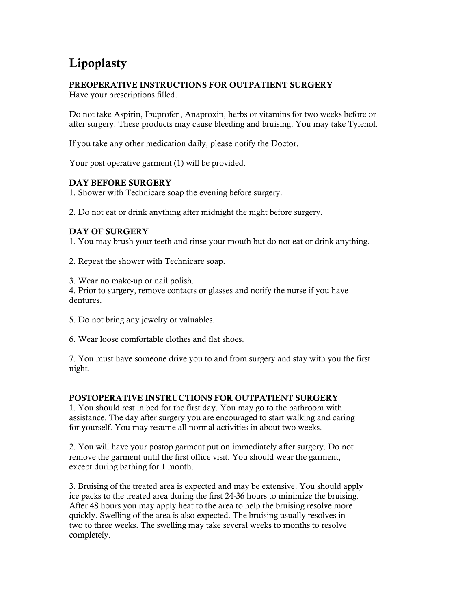# Lipoplasty

## PREOPERATIVE INSTRUCTIONS FOR OUTPATIENT SURGERY

Have your prescriptions filled.

Do not take Aspirin, Ibuprofen, Anaproxin, herbs or vitamins for two weeks before or after surgery. These products may cause bleeding and bruising. You may take Tylenol.

If you take any other medication daily, please notify the Doctor.

Your post operative garment (1) will be provided.

#### DAY BEFORE SURGERY

1. Shower with Technicare soap the evening before surgery.

2. Do not eat or drink anything after midnight the night before surgery.

#### DAY OF SURGERY

1. You may brush your teeth and rinse your mouth but do not eat or drink anything.

2. Repeat the shower with Technicare soap.

3. Wear no make-up or nail polish.

4. Prior to surgery, remove contacts or glasses and notify the nurse if you have dentures.

- 5. Do not bring any jewelry or valuables.
- 6. Wear loose comfortable clothes and flat shoes.

7. You must have someone drive you to and from surgery and stay with you the first night.

### POSTOPERATIVE INSTRUCTIONS FOR OUTPATIENT SURGERY

1. You should rest in bed for the first day. You may go to the bathroom with assistance. The day after surgery you are encouraged to start walking and caring for yourself. You may resume all normal activities in about two weeks.

2. You will have your postop garment put on immediately after surgery. Do not remove the garment until the first office visit. You should wear the garment, except during bathing for 1 month.

3. Bruising of the treated area is expected and may be extensive. You should apply ice packs to the treated area during the first 24-36 hours to minimize the bruising. After 48 hours you may apply heat to the area to help the bruising resolve more quickly. Swelling of the area is also expected. The bruising usually resolves in two to three weeks. The swelling may take several weeks to months to resolve completely.